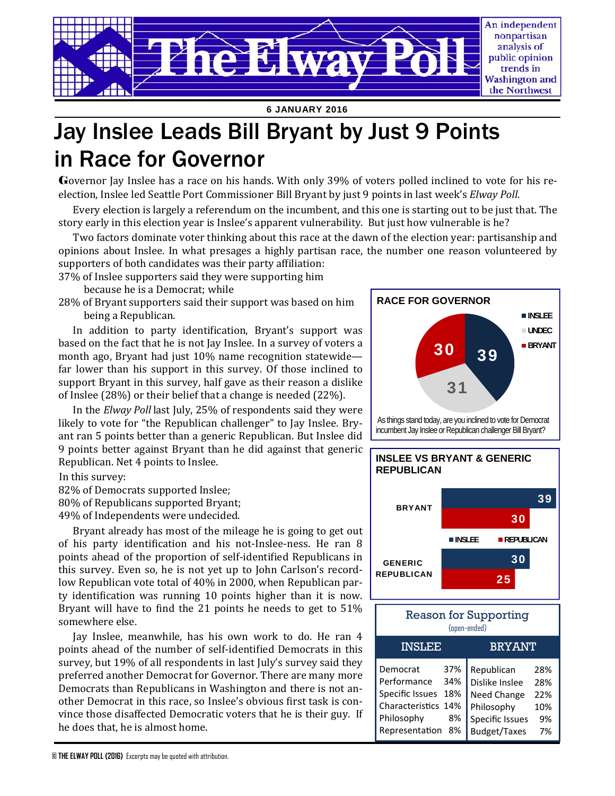

**6 JANUARY 2016** 

# Jay Inslee Leads Bill Bryant by Just 9 Points in Race for Governor

Governor Jay Inslee has a race on his hands. With only 39% of voters polled inclined to vote for his reelection, Inslee led Seattle Port Commissioner Bill Bryant by just 9 points in last week's *Elway Poll*.

Every election is largely a referendum on the incumbent, and this one is starting out to be just that. The story early in this election year is Inslee's apparent vulnerability. But just how vulnerable is he?

Two factors dominate voter thinking about this race at the dawn of the election year: partisanship and opinions about Inslee. In what presages a highly partisan race, the number one reason volunteered by supporters of both candidates was their party affiliation:

37% of Inslee supporters said they were supporting him

because he is a Democrat; while

28% of Bryant supporters said their support was based on him being a Republican.

In addition to party identification, Bryant's support was based on the fact that he is not Jay Inslee. In a survey of voters a month ago, Bryant had just 10% name recognition statewide far lower than his support in this survey. Of those inclined to support Bryant in this survey, half gave as their reason a dislike of Inslee  $(28%)$  or their belief that a change is needed  $(22%)$ .

In the *Elway Poll* last July, 25% of respondents said they were likely to vote for "the Republican challenger" to Jay Inslee. Bryant ran 5 points better than a generic Republican. But Inslee did 9 points better against Bryant than he did against that generic Republican. Net 4 points to Inslee.

In this survey:

82% of Democrats supported Inslee;

80% of Republicans supported Bryant;

49% of Independents were undecided.

Bryant already has most of the mileage he is going to get out of his party identification and his not-Inslee-ness. He ran 8 points ahead of the proportion of self-identified Republicans in this survey. Even so, he is not yet up to John Carlson's recordlow Republican vote total of 40% in 2000, when Republican party identification was running 10 points higher than it is now. Bryant will have to find the 21 points he needs to get to  $51\%$ somewhere else.

Jay Inslee, meanwhile, has his own work to do. He ran 4 points ahead of the number of self-identified Democrats in this survey, but 19% of all respondents in last July's survey said they preferred another Democrat for Governor. There are many more Democrats than Republicans in Washington and there is not another Democrat in this race, so Inslee's obvious first task is convince those disaffected Democratic voters that he is their guy. If he does that, he is almost home.



incumbent Jay Inslee or Republican challenger Bill Bryant?



Philosophy 10% Specific Issues 9% Budget/Taxes 7%

CharacterisƟcs 14% Philosophy 8% Representation 8%